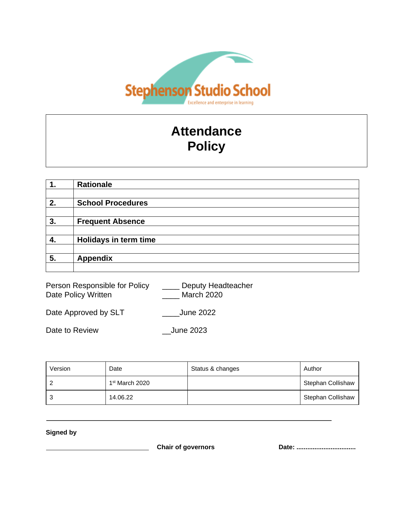

# **Attendance Policy**

|    | <b>Rationale</b>         |
|----|--------------------------|
|    |                          |
| 2. | <b>School Procedures</b> |
|    |                          |
| 3. | <b>Frequent Absence</b>  |
|    |                          |
| 4. | Holidays in term time    |
|    |                          |
| 5. | <b>Appendix</b>          |
|    |                          |

Person Responsible for Policy \_\_\_\_\_ Deputy Headteacher Date Policy Written \_\_\_\_\_\_\_\_\_\_\_\_\_ March 2020

Date Approved by SLT \_\_\_\_\_\_\_\_\_\_June 2022

Date to Review \_\_June 2023

| Version | Date                       | Status & changes | Author                   |
|---------|----------------------------|------------------|--------------------------|
|         | 1 <sup>st</sup> March 2020 |                  | Stephan Collishaw        |
| 3       | 14.06.22                   |                  | <b>Stephan Collishaw</b> |

**Signed by**

**Chair of governors Date: ..............................**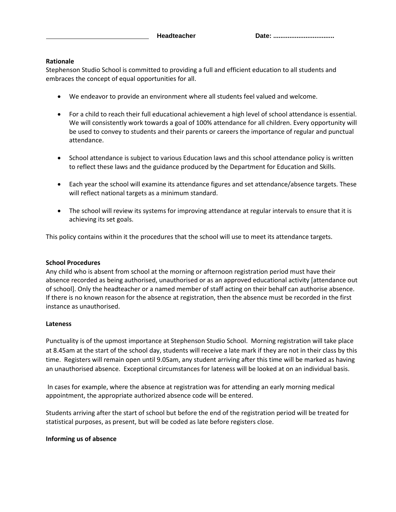#### **Rationale**

Stephenson Studio School is committed to providing a full and efficient education to all students and embraces the concept of equal opportunities for all.

- We endeavor to provide an environment where all students feel valued and welcome.
- For a child to reach their full educational achievement a high level of school attendance is essential. We will consistently work towards a goal of 100% attendance for all children. Every opportunity will be used to convey to students and their parents or careers the importance of regular and punctual attendance.
- School attendance is subject to various Education laws and this school attendance policy is written to reflect these laws and the guidance produced by the Department for Education and Skills.
- Each year the school will examine its attendance figures and set attendance/absence targets. These will reflect national targets as a minimum standard.
- The school will review its systems for improving attendance at regular intervals to ensure that it is achieving its set goals.

This policy contains within it the procedures that the school will use to meet its attendance targets.

### **School Procedures**

Any child who is absent from school at the morning or afternoon registration period must have their absence recorded as being authorised, unauthorised or as an approved educational activity [attendance out of school]. Only the headteacher or a named member of staff acting on their behalf can authorise absence. If there is no known reason for the absence at registration, then the absence must be recorded in the first instance as unauthorised.

### **Lateness**

Punctuality is of the upmost importance at Stephenson Studio School. Morning registration will take place at 8.45am at the start of the school day, students will receive a late mark if they are not in their class by this time. Registers will remain open until 9.05am, any student arriving after this time will be marked as having an unauthorised absence. Exceptional circumstances for lateness will be looked at on an individual basis.

In cases for example, where the absence at registration was for attending an early morning medical appointment, the appropriate authorized absence code will be entered.

Students arriving after the start of school but before the end of the registration period will be treated for statistical purposes, as present, but will be coded as late before registers close.

### **Informing us of absence**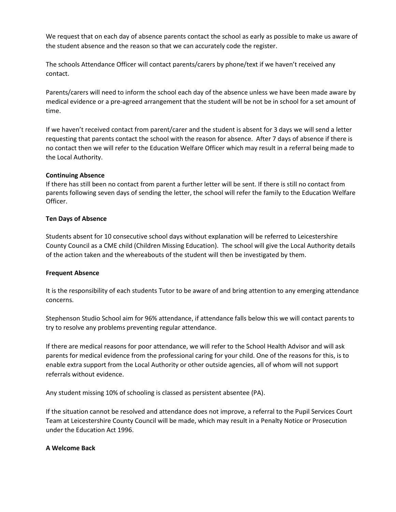We request that on each day of absence parents contact the school as early as possible to make us aware of the student absence and the reason so that we can accurately code the register.

The schools Attendance Officer will contact parents/carers by phone/text if we haven't received any contact.

Parents/carers will need to inform the school each day of the absence unless we have been made aware by medical evidence or a pre-agreed arrangement that the student will be not be in school for a set amount of time.

If we haven't received contact from parent/carer and the student is absent for 3 days we will send a letter requesting that parents contact the school with the reason for absence. After 7 days of absence if there is no contact then we will refer to the Education Welfare Officer which may result in a referral being made to the Local Authority.

### **Continuing Absence**

If there has still been no contact from parent a further letter will be sent. If there is still no contact from parents following seven days of sending the letter, the school will refer the family to the Education Welfare Officer.

# **Ten Days of Absence**

Students absent for 10 consecutive school days without explanation will be referred to Leicestershire County Council as a CME child (Children Missing Education). The school will give the Local Authority details of the action taken and the whereabouts of the student will then be investigated by them.

### **Frequent Absence**

It is the responsibility of each students Tutor to be aware of and bring attention to any emerging attendance concerns.

Stephenson Studio School aim for 96% attendance, if attendance falls below this we will contact parents to try to resolve any problems preventing regular attendance.

If there are medical reasons for poor attendance, we will refer to the School Health Advisor and will ask parents for medical evidence from the professional caring for your child. One of the reasons for this, is to enable extra support from the Local Authority or other outside agencies, all of whom will not support referrals without evidence.

Any student missing 10% of schooling is classed as persistent absentee (PA).

If the situation cannot be resolved and attendance does not improve, a referral to the Pupil Services Court Team at Leicestershire County Council will be made, which may result in a Penalty Notice or Prosecution under the Education Act 1996.

### **A Welcome Back**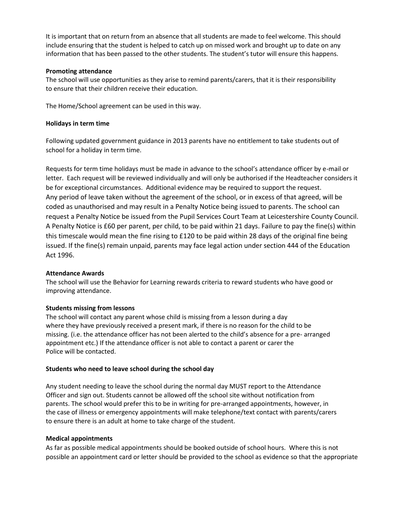It is important that on return from an absence that all students are made to feel welcome. This should include ensuring that the student is helped to catch up on missed work and brought up to date on any information that has been passed to the other students. The student's tutor will ensure this happens.

### **Promoting attendance**

The school will use opportunities as they arise to remind parents/carers, that it is their responsibility to ensure that their children receive their education.

The Home/School agreement can be used in this way.

## **Holidays in term time**

Following updated government guidance in 2013 parents have no entitlement to take students out of school for a holiday in term time.

Requests for term time holidays must be made in advance to the school's attendance officer by e-mail or letter. Each request will be reviewed individually and will only be authorised if the Headteacher considers it be for exceptional circumstances. Additional evidence may be required to support the request. Any period of leave taken without the agreement of the school, or in excess of that agreed, will be coded as unauthorised and may result in a Penalty Notice being issued to parents. The school can request a Penalty Notice be issued from the Pupil Services Court Team at Leicestershire County Council. A Penalty Notice is £60 per parent, per child, to be paid within 21 days. Failure to pay the fine(s) within this timescale would mean the fine rising to £120 to be paid within 28 days of the original fine being issued. If the fine(s) remain unpaid, parents may face legal action under section 444 of the Education Act 1996.

### **Attendance Awards**

The school will use the Behavior for Learning rewards criteria to reward students who have good or improving attendance.

### **Students missing from lessons**

The school will contact any parent whose child is missing from a lesson during a day where they have previously received a present mark, if there is no reason for the child to be missing. (i.e. the attendance officer has not been alerted to the child's absence for a pre- arranged appointment etc.) If the attendance officer is not able to contact a parent or carer the Police will be contacted.

### **Students who need to leave school during the school day**

Any student needing to leave the school during the normal day MUST report to the Attendance Officer and sign out. Students cannot be allowed off the school site without notification from parents. The school would prefer this to be in writing for pre-arranged appointments, however, in the case of illness or emergency appointments will make telephone/text contact with parents/carers to ensure there is an adult at home to take charge of the student.

### **Medical appointments**

As far as possible medical appointments should be booked outside of school hours. Where this is not possible an appointment card or letter should be provided to the school as evidence so that the appropriate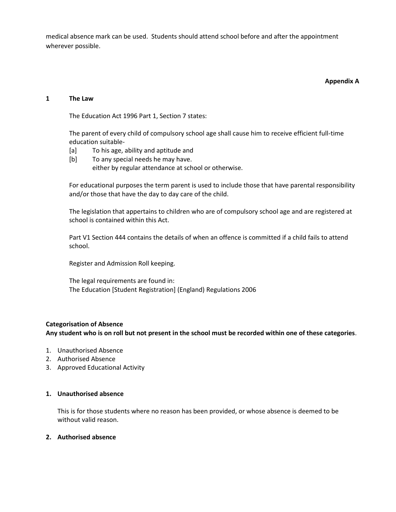medical absence mark can be used. Students should attend school before and after the appointment wherever possible.

#### **Appendix A**

#### **1 The Law**

The Education Act 1996 Part 1, Section 7 states:

The parent of every child of compulsory school age shall cause him to receive efficient full-time education suitable-

- [a] To his age, ability and aptitude and
- [b] To any special needs he may have.
	- either by regular attendance at school or otherwise.

For educational purposes the term parent is used to include those that have parental responsibility and/or those that have the day to day care of the child.

The legislation that appertains to children who are of compulsory school age and are registered at school is contained within this Act.

Part V1 Section 444 contains the details of when an offence is committed if a child fails to attend school.

Register and Admission Roll keeping.

The legal requirements are found in: The Education [Student Registration] (England) Regulations 2006

### **Categorisation of Absence**

**Any student who is on roll but not present in the school must be recorded within one of these categories**.

- 1. Unauthorised Absence
- 2. Authorised Absence
- 3. Approved Educational Activity

#### **1. Unauthorised absence**

This is for those students where no reason has been provided, or whose absence is deemed to be without valid reason.

### **2. Authorised absence**